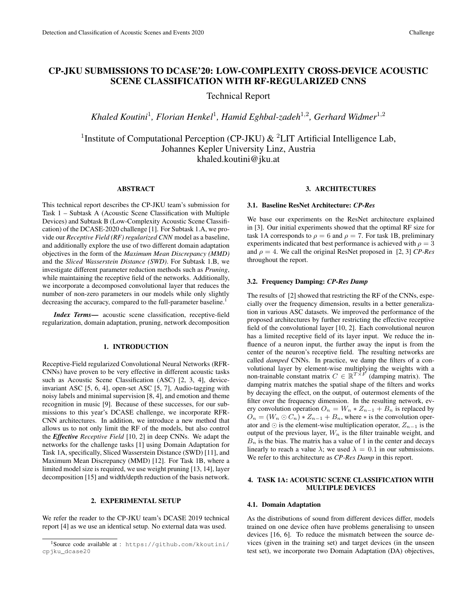# CP-JKU SUBMISSIONS TO DCASE'20: LOW-COMPLEXITY CROSS-DEVICE ACOUSTIC SCENE CLASSIFICATION WITH RF-REGULARIZED CNNS

Technical Report

*Khaled Koutini*<sup>1</sup> *, Florian Henkel*<sup>1</sup> *, Hamid Eghbal-zadeh*<sup>1</sup>,<sup>2</sup> *, Gerhard Widmer*<sup>1</sup>,<sup>2</sup>

<sup>1</sup> Institute of Computational Perception (CP-JKU)  $\&$  <sup>2</sup>LIT Artificial Intelligence Lab, Johannes Kepler University Linz, Austria khaled.koutini@jku.at

# ABSTRACT

This technical report describes the CP-JKU team's submission for Task 1 – Subtask A (Acoustic Scene Classification with Multiple Devices) and Subtask B (Low-Complexity Acoustic Scene Classification) of the DCASE-2020 challenge [1]. For Subtask 1.A, we provide our *Receptive Field (RF) regularized CNN* model as a baseline, and additionally explore the use of two different domain adaptation objectives in the form of the *Maximum Mean Discrepancy (MMD)* and the *Sliced Wasserstein Distance (SWD)*. For Subtask 1.B, we investigate different parameter reduction methods such as *Pruning*, while maintaining the receptive field of the networks. Additionally, we incorporate a decomposed convolutional layer that reduces the number of non-zero parameters in our models while only slightly decreasing the accuracy, compared to the full-parameter baseline.<sup>1</sup>

*Index Terms*— acoustic scene classification, receptive-field regularization, domain adaptation, pruning, network decomposition

### 1. INTRODUCTION

Receptive-Field regularized Convolutional Neural Networks (RFR-CNNs) have proven to be very effective in different acoustic tasks such as Acoustic Scene Classification (ASC) [2, 3, 4], deviceinvariant ASC [5, 6, 4], open-set ASC [5, 7], Audio-tagging with noisy labels and minimal supervision [8, 4], and emotion and theme recognition in music [9]. Because of these successes, for our submissions to this year's DCASE challenge, we incorporate RFR-CNN architectures. In addition, we introduce a new method that allows us to not only limit the RF of the models, but also control the *Effective Receptive Field* [10, 2] in deep CNNs. We adapt the networks for the challenge tasks [1] using Domain Adaptation for Task 1A, specifically, Sliced Wasserstein Distance (SWD) [11], and Maximum Mean Discrepancy (MMD) [12]. For Task 1B, where a limited model size is required, we use weight pruning [13, 14], layer decomposition [15] and width/depth reduction of the basis network.

### 2. EXPERIMENTAL SETUP

We refer the reader to the CP-JKU team's DCASE 2019 technical report [4] as we use an identical setup. No external data was used.

### 3. ARCHITECTURES

### 3.1. Baseline ResNet Architecture: *CP-Res*

We base our experiments on the ResNet architecture explained in [3]. Our initial experiments showed that the optimal RF size for task 1A corresponds to  $\rho = 6$  and  $\rho = 7$ . For task 1B, preliminary experiments indicated that best performance is achieved with  $\rho = 3$ and  $\rho = 4$ . We call the original ResNet proposed in [2, 3] *CP-Res* throughout the report.

#### 3.2. Frequency Damping: *CP-Res Damp*

The results of [2] showed that restricting the RF of the CNNs, especially over the frequency dimension, results in a better generalization in various ASC datasets. We improved the performance of the proposed architectures by further restricting the effective receptive field of the convolutional layer [10, 2]. Each convolutional neuron has a limited receptive field of its layer input. We reduce the influence of a neuron input, the further away the input is from the center of the neuron's receptive field. The resulting networks are called *damped* CNNs. In practice, we damp the filters of a convolutional layer by element-wise multiplying the weights with a non-trainable constant matrix  $C \in \mathbb{R}^{T \times F}$  (damping matrix). The damping matrix matches the spatial shape of the filters and works by decaying the effect, on the output, of outermost elements of the filter over the frequency dimension. In the resulting network, every convolution operation  $O_n = W_n * Z_{n-1} + B_n$  is replaced by  $O_n = (W_n \odot C_n) * Z_{n-1} + B_n$ , where  $*$  is the convolution operator and  $\odot$  is the element-wise multiplication operator,  $Z_{n-1}$  is the output of the previous layer,  $W_n$  is the filter trainable weight, and  $B_n$  is the bias. The matrix has a value of 1 in the center and decays linearly to reach a value  $\lambda$ ; we used  $\lambda = 0.1$  in our submissions. We refer to this architecture as *CP-Res Damp* in this report.

### 4. TASK 1A: ACOUSTIC SCENE CLASSIFICATION WITH MULTIPLE DEVICES

#### 4.1. Domain Adaptation

As the distributions of sound from different devices differ, models trained on one device often have problems generalising to unseen devices [16, 6]. To reduce the mismatch between the source devices (given in the training set) and target devices (in the unseen test set), we incorporate two Domain Adaptation (DA) objectives,

<sup>1</sup>Source code available at : https://github.com/kkoutini/ cpjku\_dcase20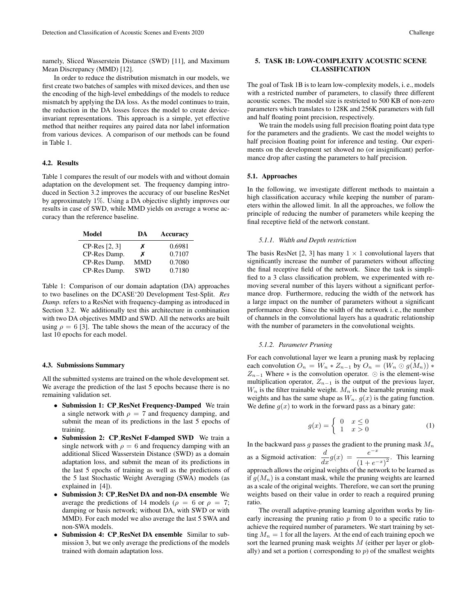namely, Sliced Wasserstein Distance (SWD) [11], and Maximum Mean Discrepancy (MMD) [12].

In order to reduce the distribution mismatch in our models, we first create two batches of samples with mixed devices, and then use the encoding of the high-level embeddings of the models to reduce mismatch by applying the DA loss. As the model continues to train, the reduction in the DA losses forces the model to create deviceinvariant representations. This approach is a simple, yet effective method that neither requires any paired data nor label information from various devices. A comparison of our methods can be found in Table 1.

#### 4.2. Results

Table 1 compares the result of our models with and without domain adaptation on the development set. The frequency damping introduced in Section 3.2 improves the accuracy of our baseline ResNet by approximately 1%. Using a DA objective slightly improves our results in case of SWD, while MMD yields on average a worse accuracy than the reference baseline.

| Model         | DА         | Accuracy |
|---------------|------------|----------|
| CP-Res [2, 3] | x          | 0.6981   |
| CP-Res Damp.  | x          | 0.7107   |
| CP-Res Damp.  | <b>MMD</b> | 0.7080   |
| CP-Res Damp.  | <b>SWD</b> | 0.7180   |

Table 1: Comparison of our domain adaptation (DA) approaches to two baselines on the DCASE'20 Development Test-Split. *Res Damp.* refers to a ResNet with frequency-damping as introduced in Section 3.2. We additionally test this architecture in combination with two DA objectives MMD and SWD. All the networks are built using  $\rho = 6$  [3]. The table shows the mean of the accuracy of the last 10 epochs for each model.

#### 4.3. Submissions Summary

All the submitted systems are trained on the whole development set. We average the prediction of the last 5 epochs because there is no remaining validation set.

- Submission 1: CP ResNet Frequency-Damped We train a single network with  $\rho = 7$  and frequency damping, and submit the mean of its predictions in the last 5 epochs of training.
- Submission 2: CP\_ResNet F-damped SWD We train a single network with  $\rho = 6$  and frequency damping with an additional Sliced Wasserstein Distance (SWD) as a domain adaptation loss, and submit the mean of its predictions in the last 5 epochs of training as well as the predictions of the 5 last Stochastic Weight Averaging (SWA) models (as explained in [4]).
- Submission 3: CP ResNet DA and non-DA ensemble We average the predictions of 14 models ( $\rho = 6$  or  $\rho = 7$ ; damping or basis network; without DA, with SWD or with MMD). For each model we also average the last 5 SWA and non-SWA models.
- Submission 4: CP ResNet DA ensemble Similar to submission 3, but we only average the predictions of the models trained with domain adaptation loss.

## 5. TASK 1B: LOW-COMPLEXITY ACOUSTIC SCENE CLASSIFICATION

The goal of Task 1B is to learn low-complexity models, i. e., models with a restricted number of parameters, to classify three different acoustic scenes. The model size is restricted to 500 KB of non-zero parameters which translates to 128K and 256K parameters with full and half floating point precision, respectively.

We train the models using full precision floating point data type for the parameters and the gradients. We cast the model weights to half precision floating point for inference and testing. Our experiments on the development set showed no (or insignificant) performance drop after casting the parameters to half precision.

### 5.1. Approaches

In the following, we investigate different methods to maintain a high classification accuracy while keeping the number of parameters within the allowed limit. In all the approaches, we follow the principle of reducing the number of parameters while keeping the final receptive field of the network constant.

#### *5.1.1. Width and Depth restriction*

The basis ResNet [2, 3] has many  $1 \times 1$  convolutional layers that significantly increase the number of parameters without affecting the final receptive field of the network. Since the task is simplified to a 3 class classification problem, we experimented with removing several number of this layers without a significant performance drop. Furthermore, reducing the width of the network has a large impact on the number of parameters without a significant performance drop. Since the width of the network i. e., the number of channels in the convolutional layers has a quadratic relationship with the number of parameters in the convolutional weights.

#### *5.1.2. Parameter Pruning*

For each convolutional layer we learn a pruning mask by replacing each convolution  $O_n = W_n * Z_{n-1}$  by  $O_n = (W_n \odot g(M_n)) *$  $Z_{n-1}$  Where  $*$  is the convolution operator.  $\odot$  is the element-wise multiplication operator,  $Z_{n-1}$  is the output of the previous layer,  $W_n$  is the filter trainable weight.  $M_n$  is the learnable pruning mask weights and has the same shape as  $W_n$ .  $g(x)$  is the gating function. We define  $g(x)$  to work in the forward pass as a binary gate:

$$
g(x) = \begin{cases} 0 & x \le 0 \\ 1 & x > 0 \end{cases}
$$
 (1)

In the backward pass  $g$  passes the gradient to the pruning mask  $M_n$ as a Sigmoid activation:  $\frac{d}{dx}g(x) = \frac{e^{-x}}{(1+e^{-x})}$  $\frac{c}{(1+e^{-x})^2}$ . This learning approach allows the original weights of the network to be learned as if  $g(M_n)$  is a constant mask, while the pruning weights are learned as a scale of the original weights. Therefore, we can sort the pruning weights based on their value in order to reach a required pruning ratio.

The overall adaptive-pruning learning algorithm works by linearly increasing the pruning ratio  $p$  from 0 to a specific ratio to achieve the required number of parameters. We start training by setting  $M_n = 1$  for all the layers. At the end of each training epoch we sort the learned pruning mask weights  $M$  (either per layer or globally) and set a portion (corresponding to  $p$ ) of the smallest weights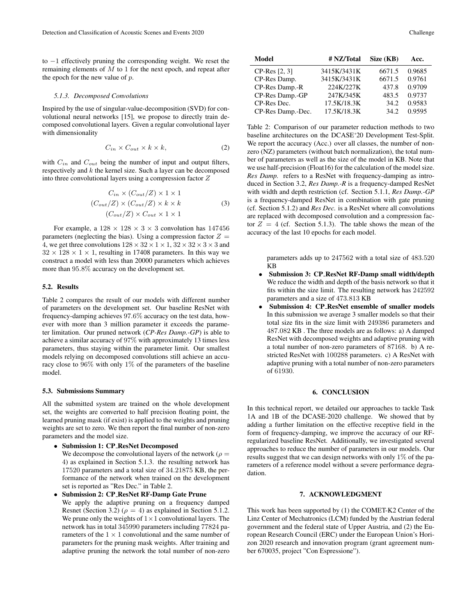to −1 effectively pruning the corresponding weight. We reset the remaining elements of  $M$  to 1 for the next epoch, and repeat after the epoch for the new value of  $p$ .

#### *5.1.3. Decomposed Convolutions*

Inspired by the use of singular-value-decomposition (SVD) for convolutional neural networks [15], we propose to directly train decomposed convolutional layers. Given a regular convolutional layer with dimensionality

$$
C_{in} \times C_{out} \times k \times k,\tag{2}
$$

with  $C_{in}$  and  $C_{out}$  being the number of input and output filters, respectively and  $k$  the kernel size. Such a layer can be decomposed into three convolutional layers using a compression factor Z

$$
C_{in} \times (C_{out}/Z) \times 1 \times 1
$$
  
\n
$$
(C_{out}/Z) \times (C_{out}/Z) \times k \times k
$$
  
\n
$$
(C_{out}/Z) \times C_{out} \times 1 \times 1
$$
 (3)

For example, a  $128 \times 128 \times 3 \times 3$  convolution has  $147456$ parameters (neglecting the bias). Using a compression factor  $Z =$ 4, we get three convolutions  $128 \times 32 \times 1 \times 1$ ,  $32 \times 32 \times 3 \times 3$  and  $32 \times 128 \times 1 \times 1$ , resulting in 17408 parameters. In this way we construct a model with less than 20000 parameters which achieves more than 95.8% accuracy on the development set.

### 5.2. Results

Table 2 compares the result of our models with different number of parameters on the development set. Our baseline ResNet with frequency-damping achieves 97.6% accuracy on the test data, however with more than 3 million parameter it exceeds the parameter limitation. Our pruned network (*CP-Res Damp.-GP*) is able to achieve a similar accuracy of 97% with approximately 13 times less parameters, thus staying within the parameter limit. Our smallest models relying on decomposed convolutions still achieve an accuracy close to 96% with only 1% of the parameters of the baseline model.

#### 5.3. Submissions Summary

All the submitted system are trained on the whole development set, the weights are converted to half precision floating point, the learned pruning mask (if exist) is applied to the weights and pruning weights are set to zero. We then report the final number of non-zero parameters and the model size.

• Submission 1: CP ResNet Decomposed We decompose the convolutional layers of the network ( $\rho =$ 

4) as explained in Section 5.1.3. the resulting network has 17520 parameters and a total size of 34.21875 KB, the performance of the network when trained on the development set is reported as "Res Dec." in Table 2.

• Submission 2: CP ResNet RF-Damp Gate Prune We apply the adaptive pruning on a frequency damped Resnet (Section 3.2) ( $\rho = 4$ ) as explained in Section 5.1.2. We prune only the weights of  $1 \times 1$  convolutional layers. The network has in total 345990 parameters including 77824 parameters of the  $1 \times 1$  convolutional and the same number of parameters for the pruning mask weights. After training and adaptive pruning the network the total number of non-zero

| Model             | # NZ/Total  | Size (KB) | Acc.   |
|-------------------|-------------|-----------|--------|
| CP-Res [2, 3]     | 3415K/3431K | 6671.5    | 0.9685 |
| CP-Res Damp.      | 3415K/3431K | 6671.5    | 0.9761 |
| CP-Res Damp.-R    | 224K/227K   | 437.8     | 0.9709 |
| CP-Res Damp.-GP   | 247K/345K   | 483.5     | 0.9737 |
| CP-Res Dec.       | 17.5K/18.3K | 34.2      | 0.9583 |
| CP-Res Damp.-Dec. | 17.5K/18.3K | 34.2      | 0.9595 |

Table 2: Comparison of our parameter reduction methods to two baseline architectures on the DCASE'20 Development Test-Split. We report the accuracy (Acc.) over all classes, the number of nonzero (NZ) parameters (without batch normalization), the total number of parameters as well as the size of the model in KB. Note that we use half-precision (Float16) for the calculation of the model size. *Res Damp.* refers to a ResNet with frequency-damping as introduced in Section 3.2, *Res Damp.-R* is a frequency-damped ResNet with width and depth restriction (cf. Section 5.1.1, *Res Damp.-GP* is a frequency-damped ResNet in combination with gate pruning (cf. Section 5.1.2) and *Res Dec.* is a ResNet where all convolutions are replaced with decomposed convolution and a compression factor  $Z = 4$  (cf. Section 5.1.3). The table shows the mean of the accuracy of the last 10 epochs for each model.

parameters adds up to 247562 with a total size of 483.520 KB

- Submission 3: CP ResNet RF-Damp small width/depth We reduce the width and depth of the basis network so that it fits within the size limit. The resulting network has 242592 parameters and a size of 473.813 KB
- Submission 4: CP\_ResNet ensemble of smaller models In this submission we average 3 smaller models so that their total size fits in the size limit with 249386 parameters and 487.082 KB . The three models are as follows: a) A damped ResNet with decomposed weights and adaptive pruning with a total number of non-zero parameters of 87168. b) A restricted ResNet with 100288 parameters. c) A ResNet with adaptive pruning with a total number of non-zero parameters of 61930.

### 6. CONCLUSION

In this technical report, we detailed our approaches to tackle Task 1A and 1B of the DCASE-2020 challenge. We showed that by adding a further limitation on the effective receptive field in the form of frequency-damping, we improve the accuracy of our RFregularized baseline ResNet. Additionally, we investigated several approaches to reduce the number of parameters in our models. Our results suggest that we can design networks with only 1% of the parameters of a reference model without a severe performance degradation.

## 7. ACKNOWLEDGMENT

This work has been supported by (1) the COMET-K2 Center of the Linz Center of Mechatronics (LCM) funded by the Austrian federal government and the federal state of Upper Austria, and (2) the European Research Council (ERC) under the European Union's Horizon 2020 research and innovation program (grant agreement number 670035, project "Con Espressione").